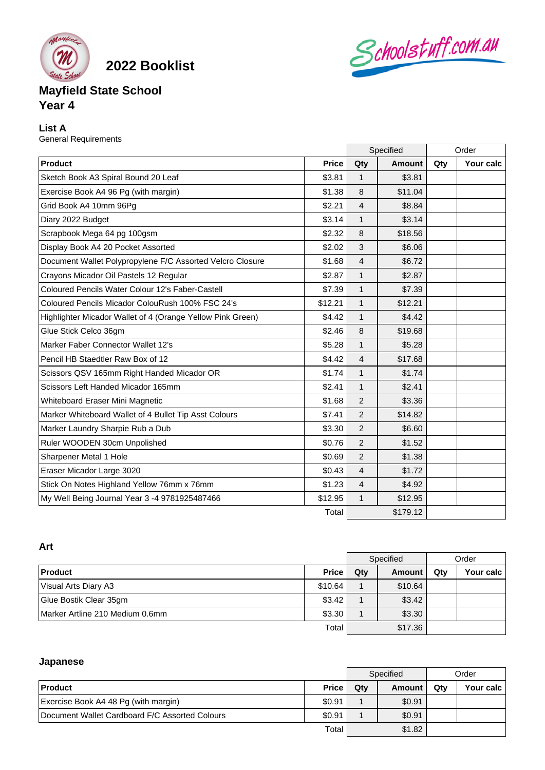

**2022 Booklist**

# **Mayfield State School Year 4**

# **List A**

General Requirements

|                                                            |              | Specified      |               | Order |           |
|------------------------------------------------------------|--------------|----------------|---------------|-------|-----------|
| Product                                                    | <b>Price</b> | Qty            | <b>Amount</b> | Qty   | Your calc |
| Sketch Book A3 Spiral Bound 20 Leaf                        | \$3.81       | 1              | \$3.81        |       |           |
| Exercise Book A4 96 Pg (with margin)                       | \$1.38       | 8              | \$11.04       |       |           |
| Grid Book A4 10mm 96Pg                                     | \$2.21       | 4              | \$8.84        |       |           |
| Diary 2022 Budget                                          | \$3.14       | $\mathbf{1}$   | \$3.14        |       |           |
| Scrapbook Mega 64 pg 100gsm                                | \$2.32       | 8              | \$18.56       |       |           |
| Display Book A4 20 Pocket Assorted                         | \$2.02       | 3              | \$6.06        |       |           |
| Document Wallet Polypropylene F/C Assorted Velcro Closure  | \$1.68       | $\overline{4}$ | \$6.72        |       |           |
| Crayons Micador Oil Pastels 12 Regular                     | \$2.87       | $\mathbf{1}$   | \$2.87        |       |           |
| Coloured Pencils Water Colour 12's Faber-Castell           | \$7.39       | $\mathbf{1}$   | \$7.39        |       |           |
| Coloured Pencils Micador ColouRush 100% FSC 24's           | \$12.21      | $\mathbf{1}$   | \$12.21       |       |           |
| Highlighter Micador Wallet of 4 (Orange Yellow Pink Green) | \$4.42       | 1              | \$4.42        |       |           |
| Glue Stick Celco 36gm                                      | \$2.46       | 8              | \$19.68       |       |           |
| Marker Faber Connector Wallet 12's                         | \$5.28       | $\mathbf{1}$   | \$5.28        |       |           |
| Pencil HB Staedtler Raw Box of 12                          | \$4.42       | $\overline{4}$ | \$17.68       |       |           |
| Scissors QSV 165mm Right Handed Micador OR                 | \$1.74       | $\mathbf{1}$   | \$1.74        |       |           |
| Scissors Left Handed Micador 165mm                         | \$2.41       | $\mathbf{1}$   | \$2.41        |       |           |
| Whiteboard Eraser Mini Magnetic                            | \$1.68       | 2              | \$3.36        |       |           |
| Marker Whiteboard Wallet of 4 Bullet Tip Asst Colours      | \$7.41       | $\overline{2}$ | \$14.82       |       |           |
| Marker Laundry Sharpie Rub a Dub                           | \$3.30       | 2              | \$6.60        |       |           |
| Ruler WOODEN 30cm Unpolished                               | \$0.76       | $\overline{2}$ | \$1.52        |       |           |
| Sharpener Metal 1 Hole                                     | \$0.69       | $\overline{2}$ | \$1.38        |       |           |
| Eraser Micador Large 3020                                  | \$0.43       | $\overline{4}$ | \$1.72        |       |           |
| Stick On Notes Highland Yellow 76mm x 76mm                 | \$1.23       | 4              | \$4.92        |       |           |
| My Well Being Journal Year 3 -4 9781925487466              | \$12.95      | $\mathbf{1}$   | \$12.95       |       |           |
|                                                            | Total        |                | \$179.12      |       |           |

Schoolstuff.com.au

# **Art**

| AL 5                            |              |           |         |       |           |
|---------------------------------|--------------|-----------|---------|-------|-----------|
|                                 |              | Specified |         | Order |           |
| <b>Product</b>                  | <b>Price</b> | Qty       | Amount  | Qty   | Your calc |
| Visual Arts Diary A3            | \$10.64      |           | \$10.64 |       |           |
| Glue Bostik Clear 35gm          | \$3.42       |           | \$3.42  |       |           |
| Marker Artline 210 Medium 0.6mm | \$3.30       |           | \$3.30  |       |           |
|                                 | Total        |           | \$17.36 |       |           |

# **Japanese**

|                                                |              | Specified |        | Order |           |
|------------------------------------------------|--------------|-----------|--------|-------|-----------|
| <b>Product</b>                                 | <b>Price</b> | Qtv       | Amount | Qtv   | Your calc |
| Exercise Book A4 48 Pg (with margin)           | \$0.91       |           | \$0.91 |       |           |
| Document Wallet Cardboard F/C Assorted Colours | \$0.91       |           | \$0.91 |       |           |
|                                                | Total        |           | \$1.82 |       |           |